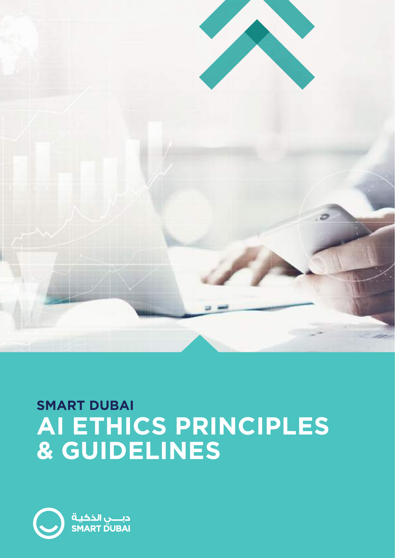

# **SMART DUBAI AI ETHICS PRINCIPLES & GUIDELINES**

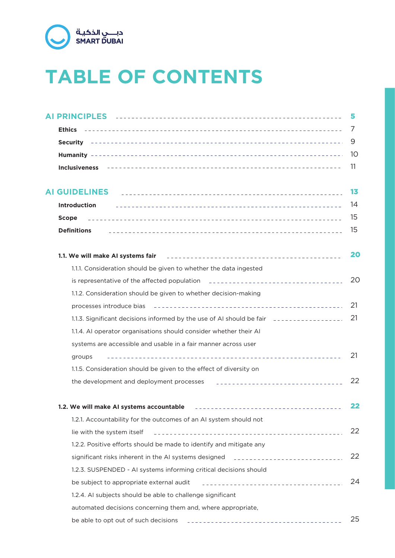

# **TABLE OF CONTENTS**

|                                                                                                                                                                                                                                                                       | 5   |
|-----------------------------------------------------------------------------------------------------------------------------------------------------------------------------------------------------------------------------------------------------------------------|-----|
|                                                                                                                                                                                                                                                                       | 7   |
|                                                                                                                                                                                                                                                                       | 9   |
|                                                                                                                                                                                                                                                                       | -10 |
| <b>Inclusiveness</b>                                                                                                                                                                                                                                                  | -11 |
|                                                                                                                                                                                                                                                                       | 13  |
| <b>Introduction</b>                                                                                                                                                                                                                                                   | 14  |
| <b>Scope</b>                                                                                                                                                                                                                                                          | 15  |
| <b>Definitions</b>                                                                                                                                                                                                                                                    | 15  |
| 1.1. We will make AI systems fair                                                                                                                                                                                                                                     | 20  |
| 1.1.1. Consideration should be given to whether the data ingested                                                                                                                                                                                                     |     |
| is representative of the affected population <b>Entire Container and September 2016</b>                                                                                                                                                                               | 20  |
| 1.1.2. Consideration should be given to whether decision-making                                                                                                                                                                                                       |     |
|                                                                                                                                                                                                                                                                       | 21  |
| 1.1.3. Significant decisions informed by the use of AI should be fair <b>entity and the system</b> in 1.3. Significant decisions informed by the use of AI should be fair                                                                                             | 21  |
| 1.1.4. AI operator organisations should consider whether their AI                                                                                                                                                                                                     |     |
| systems are accessible and usable in a fair manner across user                                                                                                                                                                                                        |     |
| groups                                                                                                                                                                                                                                                                | 21  |
| 1.1.5. Consideration should be given to the effect of diversity on                                                                                                                                                                                                    |     |
| the development and deployment processes                                                                                                                                                                                                                              | 22  |
| Ne will make AI systems accountable and all all the set of the set of the set of the will make                                                                                                                                                                        | 22  |
| 1.2.1. Accountability for the outcomes of an AI system should not                                                                                                                                                                                                     |     |
| lie with the system itself                                                                                                                                                                                                                                            | 22  |
| 1.2.2. Positive efforts should be made to identify and mitigate any                                                                                                                                                                                                   |     |
| significant risks inherent in the AI systems designed [1] [1] [1] [1] [1] [1] [1] $\frac{1}{2}$ [1] $\frac{1}{2}$ [1] $\frac{1}{2}$ [1] $\frac{1}{2}$ [1] $\frac{1}{2}$ [1] $\frac{1}{2}$ [1] $\frac{1}{2}$ [1] $\frac{1}{2}$ [1] $\frac{1}{2}$ [1] $\frac{1}{2}$ [1] | 22  |
| 1.2.3. SUSPENDED - AI systems informing critical decisions should                                                                                                                                                                                                     |     |
| be subject to appropriate external audit                                                                                                                                                                                                                              | 24  |
| 1.2.4. AI subjects should be able to challenge significant                                                                                                                                                                                                            |     |
| automated decisions concerning them and, where appropriate,                                                                                                                                                                                                           |     |
| be able to opt out of such decisions                                                                                                                                                                                                                                  | 25  |
|                                                                                                                                                                                                                                                                       |     |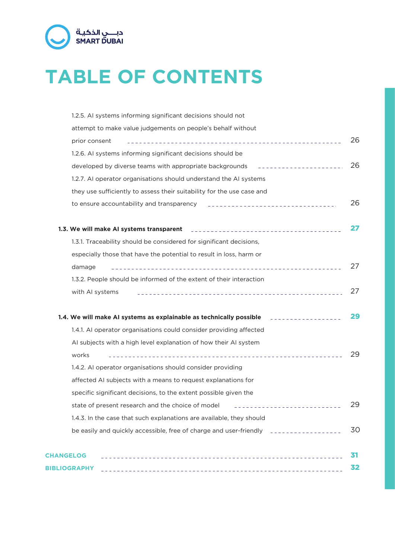

# **TABLE OF CONTENTS**

| 1.2.5. AI systems informing significant decisions should not                                          |    |
|-------------------------------------------------------------------------------------------------------|----|
| attempt to make value judgements on people's behalf without                                           |    |
| prior consent                                                                                         | 26 |
| 1.2.6. AI systems informing significant decisions should be                                           |    |
| developed by diverse teams with appropriate backgrounds ________________________                      | 26 |
| 1.2.7. AI operator organisations should understand the AI systems                                     |    |
| they use sufficiently to assess their suitability for the use case and                                |    |
| to ensure accountability and transparency resonance access to ensure accountability and transparency  | 26 |
| 1.3. We will make AI systems transparent <b>the active areas and the contract of the system</b>       | 27 |
| 1.3.1. Traceability should be considered for significant decisions,                                   |    |
| especially those that have the potential to result in loss, harm or                                   |    |
| damage                                                                                                | 27 |
| 1.3.2. People should be informed of the extent of their interaction                                   |    |
| with AI systems                                                                                       | 27 |
| 1.4. We will make AI systems as explainable as technically possible entitled account of the Microsoft | 29 |
| 1.4.1. AI operator organisations could consider providing affected                                    |    |
| Al subjects with a high level explanation of how their Al system                                      |    |
| works                                                                                                 | 29 |
| 1.4.2. AI operator organisations should consider providing                                            |    |
| affected AI subjects with a means to request explanations for                                         |    |
| specific significant decisions, to the extent possible given the                                      |    |
| state of present research and the choice of model                                                     | 29 |
| 1.4.3. In the case that such explanations are available, they should                                  |    |
| be easily and quickly accessible, free of charge and user-friendly entirely accessible below          | 30 |
| <b>CHANGELOG</b>                                                                                      | 31 |
| <b>BIBLIOGRAPHY</b>                                                                                   | 32 |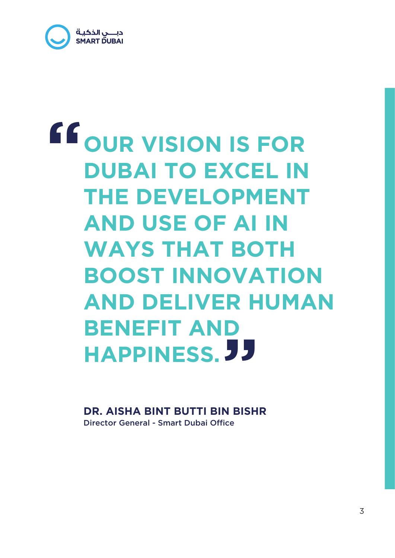

# **OUR VISION IS FOR DUBAI TO EXCEL IN THE DEVELOPMENT AND USE OF AI IN WAYS THAT BOTH BOOST INNOVATION AND DELIVER HUMAN BENEFIT AND HAPPINESS. " "**

Director General - Smart Dubai Office **DR. AISHA BINT BUTTI BIN BISHR**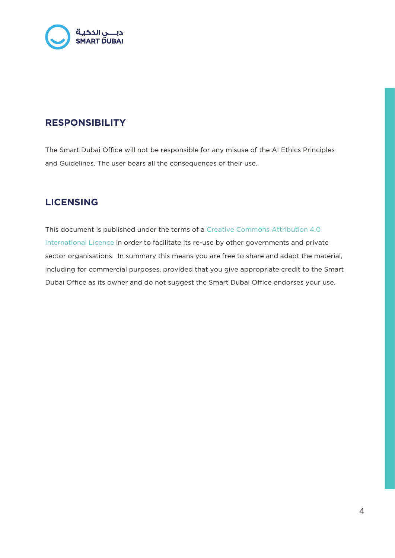

# **RESPONSIBILITY**

The Smart Dubai Office will not be responsible for any misuse of the AI Ethics Principles and Guidelines. The user bears all the consequences of their use.

# **LICENSING**

This document is published under the terms of a Creative Commons Attribution 4.0 International Licence in order to facilitate its re-use by other governments and private sector organisations. In summary this means you are free to share and adapt the material, including for commercial purposes, provided that you give appropriate credit to the Smart Dubai Office as its owner and do not suggest the Smart Dubai Office endorses your use.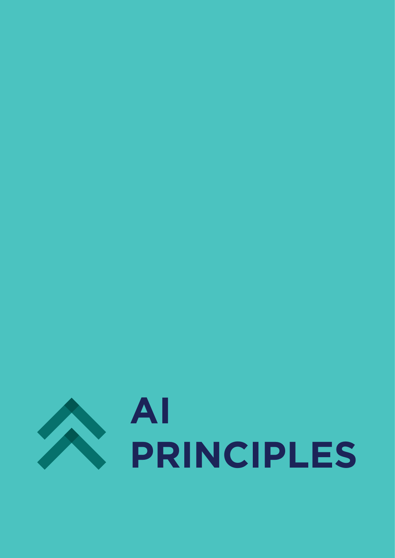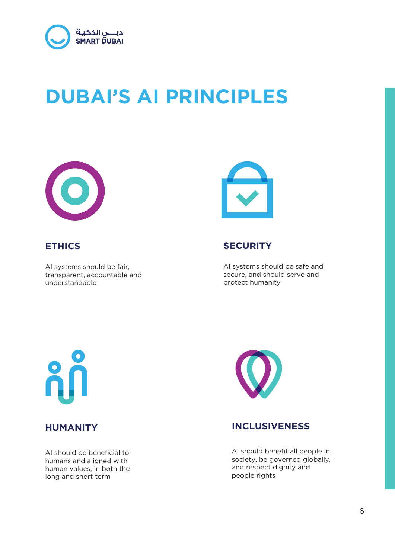

# **DUBAI'S AI PRINCIPLES**



# **ETHICS**

AI systems should be fair, transparent, accountable and understandable



# **SECURITY**

AI systems should be safe and secure, and should serve and protect humanity



AI should be beneficial to humans and aligned with human values, in both the long and short term



# **HUMANITY INCLUSIVENESS**

AI should benefit all people in society, be governed globally, and respect dignity and people rights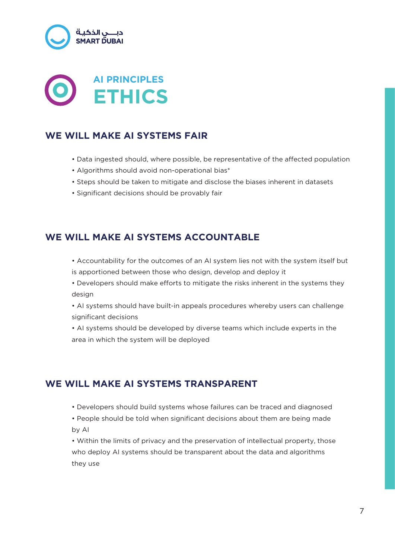



# **WE WILL MAKE AI SYSTEMS FAIR**

- Data ingested should, where possible, be representative of the affected population
- Algorithms should avoid non-operational bias\*
- Steps should be taken to mitigate and disclose the biases inherent in datasets
- Significant decisions should be provably fair

# **WE WILL MAKE AI SYSTEMS ACCOUNTABLE**

- Accountability for the outcomes of an AI system lies not with the system itself but is apportioned between those who design, develop and deploy it
- Developers should make efforts to mitigate the risks inherent in the systems they design
- AI systems should have built-in appeals procedures whereby users can challenge significant decisions
- AI systems should be developed by diverse teams which include experts in the area in which the system will be deployed

# **WE WILL MAKE AI SYSTEMS TRANSPARENT**

- Developers should build systems whose failures can be traced and diagnosed
- People should be told when significant decisions about them are being made by AI

• Within the limits of privacy and the preservation of intellectual property, those who deploy AI systems should be transparent about the data and algorithms they use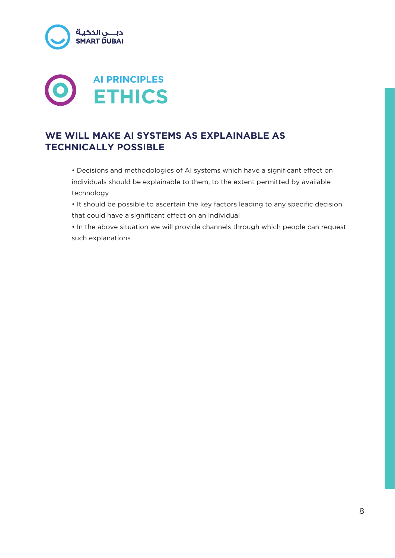



# **WE WILL MAKE AI SYSTEMS AS EXPLAINABLE AS TECHNICALLY POSSIBLE**

• Decisions and methodologies of AI systems which have a significant effect on individuals should be explainable to them, to the extent permitted by available technology

• It should be possible to ascertain the key factors leading to any specific decision that could have a significant effect on an individual

• In the above situation we will provide channels through which people can request such explanations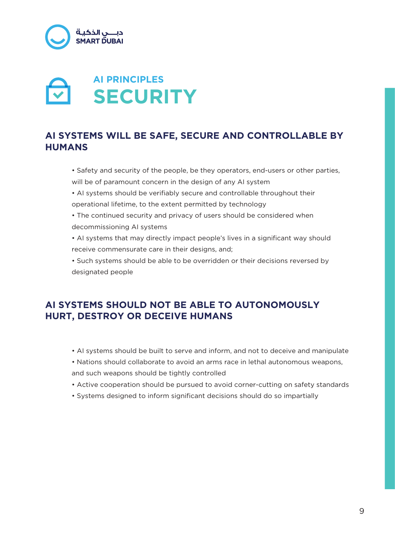

# **SECURITY AI PRINCIPLES**

# **AI SYSTEMS WILL BE SAFE, SECURE AND CONTROLLABLE BY HUMANS**

- Safety and security of the people, be they operators, end-users or other parties, will be of paramount concern in the design of any AI system
- AI systems should be verifiably secure and controllable throughout their operational lifetime, to the extent permitted by technology
- The continued security and privacy of users should be considered when decommissioning AI systems
- AI systems that may directly impact people's lives in a significant way should receive commensurate care in their designs, and;
- Such systems should be able to be overridden or their decisions reversed by designated people

# **AI SYSTEMS SHOULD NOT BE ABLE TO AUTONOMOUSLY HURT, DESTROY OR DECEIVE HUMANS**

- AI systems should be built to serve and inform, and not to deceive and manipulate
- Nations should collaborate to avoid an arms race in lethal autonomous weapons, and such weapons should be tightly controlled
- Active cooperation should be pursued to avoid corner-cutting on safety standards
- Systems designed to inform significant decisions should do so impartially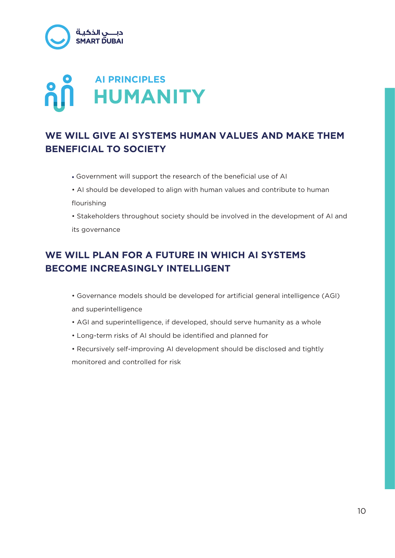

# **AI PRINCIPLES HUMANITY**

# **WE WILL GIVE AI SYSTEMS HUMAN VALUES AND MAKE THEM BENEFICIAL TO SOCIETY**

- Government will support the research of the beneficial use of AI
- AI should be developed to align with human values and contribute to human flourishing
- Stakeholders throughout society should be involved in the development of AI and its governance

# **WE WILL PLAN FOR A FUTURE IN WHICH AI SYSTEMS BECOME INCREASINGLY INTELLIGENT**

- Governance models should be developed for artificial general intelligence (AGI) and superintelligence
- AGI and superintelligence, if developed, should serve humanity as a whole
- Long-term risks of AI should be identified and planned for
- Recursively self-improving AI development should be disclosed and tightly monitored and controlled for risk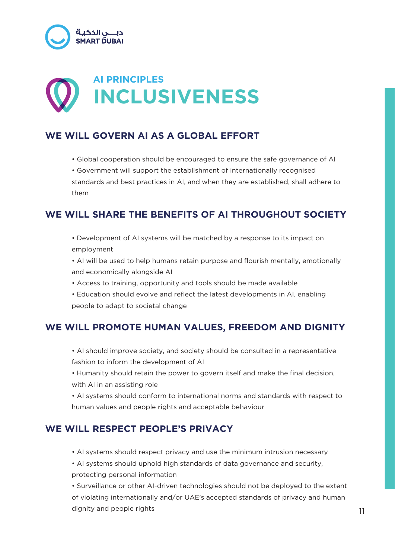

# **INCLUSIVENESS AI PRINCIPLES**

# **WE WILL GOVERN AI AS A GLOBAL EFFORT**

- Global cooperation should be encouraged to ensure the safe governance of AI
- Government will support the establishment of internationally recognised standards and best practices in AI, and when they are established, shall adhere to them

# **WE WILL SHARE THE BENEFITS OF AI THROUGHOUT SOCIETY**

- Development of AI systems will be matched by a response to its impact on employment
- AI will be used to help humans retain purpose and flourish mentally, emotionally and economically alongside AI
- Access to training, opportunity and tools should be made available
- Education should evolve and reflect the latest developments in AI, enabling people to adapt to societal change

# **WE WILL PROMOTE HUMAN VALUES, FREEDOM AND DIGNITY**

- AI should improve society, and society should be consulted in a representative fashion to inform the development of AI
- Humanity should retain the power to govern itself and make the final decision, with AI in an assisting role

• AI systems should conform to international norms and standards with respect to human values and people rights and acceptable behaviour

# **WE WILL RESPECT PEOPLE'S PRIVACY**

- AI systems should respect privacy and use the minimum intrusion necessary
- AI systems should uphold high standards of data governance and security, protecting personal information

• Surveillance or other AI-driven technologies should not be deployed to the extent of violating internationally and/or UAE's accepted standards of privacy and human dignity and people rights 11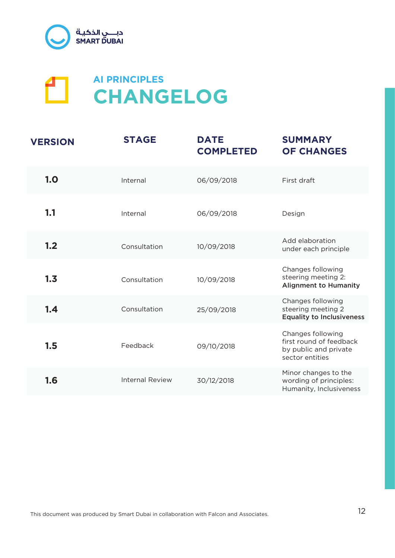



| <b>VERSION</b> | <b>STAGE</b>           | <b>DATE</b><br><b>COMPLETED</b> | <b>SUMMARY</b><br><b>OF CHANGES</b>                                                      |
|----------------|------------------------|---------------------------------|------------------------------------------------------------------------------------------|
| 1.0            | Internal               | 06/09/2018                      | First draft                                                                              |
| 1.1            | Internal               | 06/09/2018                      | Design                                                                                   |
| 1.2            | Consultation           | 10/09/2018                      | Add elaboration<br>under each principle                                                  |
| 1.3            | Consultation           | 10/09/2018                      | Changes following<br>steering meeting 2:<br><b>Alignment to Humanity</b>                 |
| 1.4            | Consultation           | 25/09/2018                      | Changes following<br>steering meeting 2<br><b>Equality to Inclusiveness</b>              |
| 1.5            | Feedback               | 09/10/2018                      | Changes following<br>first round of feedback<br>by public and private<br>sector entities |
| 1.6            | <b>Internal Review</b> | 30/12/2018                      | Minor changes to the<br>wording of principles:<br>Humanity, Inclusiveness                |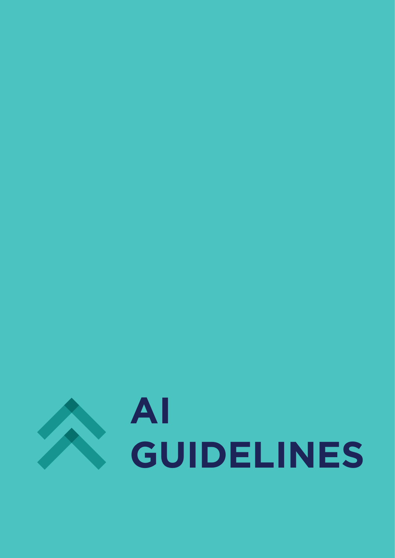

# **AI GUIDELINES**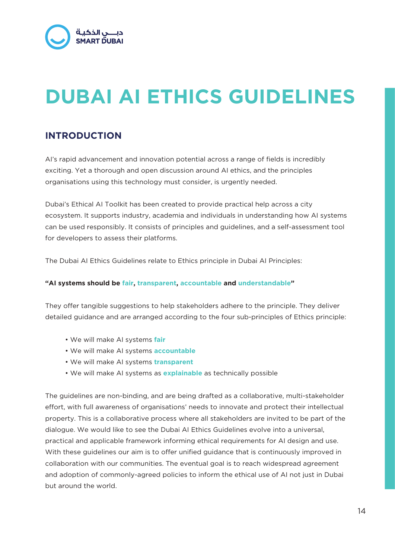

# **DUBAI AI ETHICS GUIDELINES**

# **INTRODUCTION**

AI's rapid advancement and innovation potential across a range of fields is incredibly exciting. Yet a thorough and open discussion around AI ethics, and the principles organisations using this technology must consider, is urgently needed.

Dubai's Ethical AI Toolkit has been created to provide practical help across a city ecosystem. It supports industry, academia and individuals in understanding how AI systems can be used responsibly. It consists of principles and guidelines, and a self-assessment tool for developers to assess their platforms.

The Dubai AI Ethics Guidelines relate to Ethics principle in Dubai AI Principles:

#### **"AI systems should be fair, transparent, accountable and understandable"**

They offer tangible suggestions to help stakeholders adhere to the principle. They deliver detailed guidance and are arranged according to the four sub-principles of Ethics principle:

- We will make AI systems **fair**
- We will make AI systems **accountable**
- We will make AI systems **transparent**
- We will make AI systems as **explainable** as technically possible

The guidelines are non-binding, and are being drafted as a collaborative, multi-stakeholder effort, with full awareness of organisations' needs to innovate and protect their intellectual property. This is a collaborative process where all stakeholders are invited to be part of the dialogue. We would like to see the Dubai AI Ethics Guidelines evolve into a universal, practical and applicable framework informing ethical requirements for AI design and use. With these guidelines our aim is to offer unified guidance that is continuously improved in collaboration with our communities. The eventual goal is to reach widespread agreement and adoption of commonly-agreed policies to inform the ethical use of AI not just in Dubai but around the world.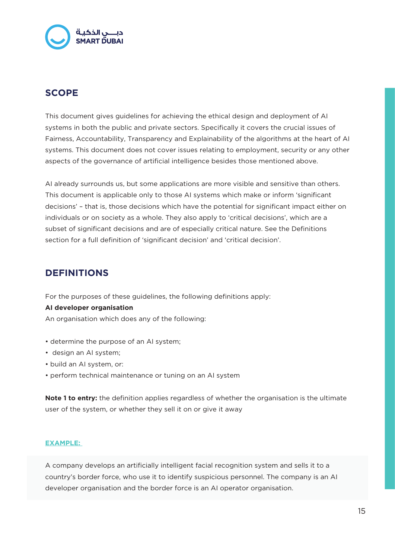

# **SCOPE**

This document gives guidelines for achieving the ethical design and deployment of AI systems in both the public and private sectors. Specifically it covers the crucial issues of Fairness, Accountability, Transparency and Explainability of the algorithms at the heart of AI systems. This document does not cover issues relating to employment, security or any other aspects of the governance of artificial intelligence besides those mentioned above.

AI already surrounds us, but some applications are more visible and sensitive than others. This document is applicable only to those AI systems which make or inform 'significant decisions' – that is, those decisions which have the potential for significant impact either on individuals or on society as a whole. They also apply to 'critical decisions', which are a subset of significant decisions and are of especially critical nature. See the Definitions section for a full definition of 'significant decision' and 'critical decision'.

# **DEFINITIONS**

For the purposes of these guidelines, the following definitions apply:

#### **AI developer organisation**

An organisation which does any of the following:

- determine the purpose of an AI system;
- design an AI system;
- build an AI system, or:
- perform technical maintenance or tuning on an AI system

**Note 1 to entry:** the definition applies regardless of whether the organisation is the ultimate user of the system, or whether they sell it on or give it away

#### **EXAMPLE:**

A company develops an artificially intelligent facial recognition system and sells it to a country's border force, who use it to identify suspicious personnel. The company is an AI developer organisation and the border force is an AI operator organisation.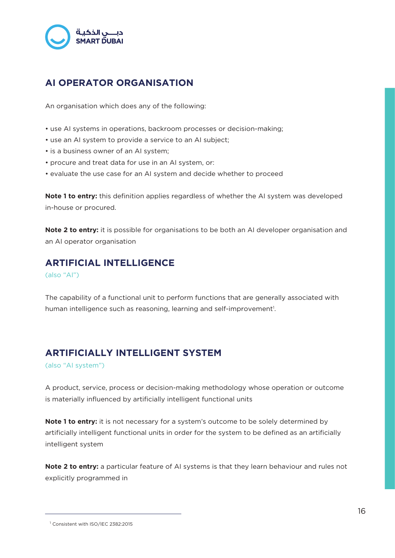

# **AI OPERATOR ORGANISATION**

An organisation which does any of the following:

- use AI systems in operations, backroom processes or decision-making;
- use an AI system to provide a service to an AI subject;
- is a business owner of an AI system;
- procure and treat data for use in an AI system, or:
- evaluate the use case for an AI system and decide whether to proceed

**Note 1 to entry:** this definition applies regardless of whether the AI system was developed in-house or procured.

**Note 2 to entry:** it is possible for organisations to be both an AI developer organisation and an AI operator organisation

## **ARTIFICIAL INTELLIGENCE**

(also "AI")

The capability of a functional unit to perform functions that are generally associated with human intelligence such as reasoning, learning and self-improvement<sup>1</sup>.

## **ARTIFICIALLY INTELLIGENT SYSTEM**

(also "AI system")

A product, service, process or decision-making methodology whose operation or outcome is materially influenced by artificially intelligent functional units

**Note 1 to entry:** it is not necessary for a system's outcome to be solely determined by artificially intelligent functional units in order for the system to be defined as an artificially intelligent system

**Note 2 to entry:** a particular feature of AI systems is that they learn behaviour and rules not explicitly programmed in

<sup>1</sup> Consistent with ISO/IEC 2382:2015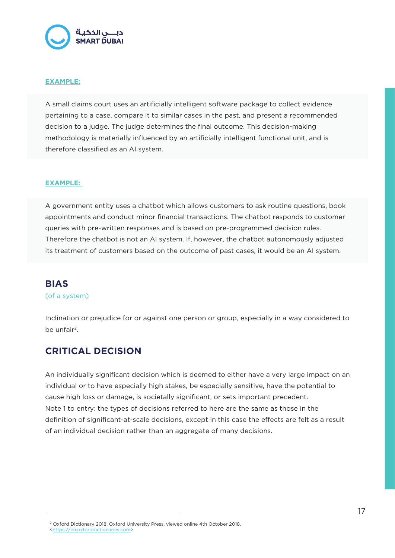

#### **EXAMPLE:**

A small claims court uses an artificially intelligent software package to collect evidence pertaining to a case, compare it to similar cases in the past, and present a recommended decision to a judge. The judge determines the final outcome. This decision-making methodology is materially influenced by an artificially intelligent functional unit, and is therefore classified as an AI system.

#### **EXAMPLE:**

A government entity uses a chatbot which allows customers to ask routine questions, book appointments and conduct minor financial transactions. The chatbot responds to customer queries with pre-written responses and is based on pre-programmed decision rules. Therefore the chatbot is not an AI system. If, however, the chatbot autonomously adjusted its treatment of customers based on the outcome of past cases, it would be an AI system.

# **BIAS**

#### (of a system)

Inclination or prejudice for or against one person or group, especially in a way considered to be unfair<sup>2</sup>.

# **CRITICAL DECISION**

An individually significant decision which is deemed to either have a very large impact on an individual or to have especially high stakes, be especially sensitive, have the potential to cause high loss or damage, is societally significant, or sets important precedent. Note 1 to entry: the types of decisions referred to here are the same as those in the definition of significant-at-scale decisions, except in this case the effects are felt as a result of an individual decision rather than an aggregate of many decisions.

<sup>&</sup>lt;sup>2</sup> Oxford Dictionary 2018, Oxford University Press, viewed online 4th October 2018, <https://en.oxforddictionaries.com>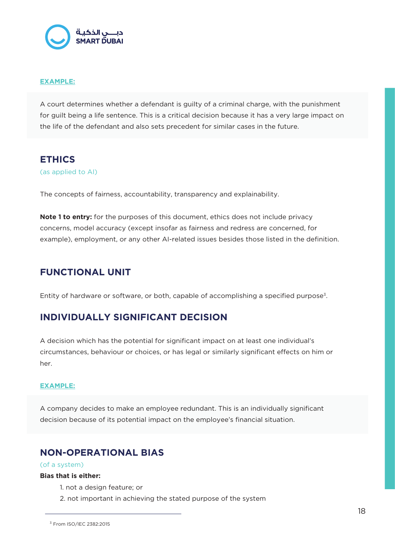

#### **EXAMPLE:**

A court determines whether a defendant is guilty of a criminal charge, with the punishment for guilt being a life sentence. This is a critical decision because it has a very large impact on the life of the defendant and also sets precedent for similar cases in the future.

# **ETHICS**

(as applied to AI)

The concepts of fairness, accountability, transparency and explainability.

**Note 1 to entry:** for the purposes of this document, ethics does not include privacy concerns, model accuracy (except insofar as fairness and redress are concerned, for example), employment, or any other AI-related issues besides those listed in the definition.

# **FUNCTIONAL UNIT**

Entity of hardware or software, or both, capable of accomplishing a specified purpose<sup>3</sup>.

# **INDIVIDUALLY SIGNIFICANT DECISION**

A decision which has the potential for significant impact on at least one individual's circumstances, behaviour or choices, or has legal or similarly significant effects on him or her.

#### **EXAMPLE:**

A company decides to make an employee redundant. This is an individually significant decision because of its potential impact on the employee's financial situation.

# **NON-OPERATIONAL BIAS**

#### (of a system)

#### **Bias that is either:**

- 1. not a design feature; or
- 2. not important in achieving the stated purpose of the system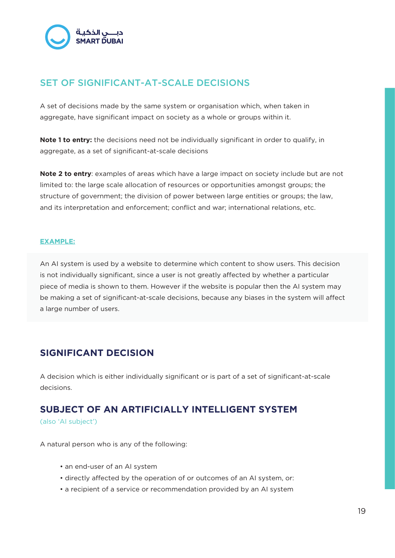

# SET OF SIGNIFICANT-AT-SCALE DECISIONS

A set of decisions made by the same system or organisation which, when taken in aggregate, have significant impact on society as a whole or groups within it.

**Note 1 to entry:** the decisions need not be individually significant in order to qualify, in aggregate, as a set of significant-at-scale decisions

**Note 2 to entry**: examples of areas which have a large impact on society include but are not limited to: the large scale allocation of resources or opportunities amongst groups; the structure of government; the division of power between large entities or groups; the law, and its interpretation and enforcement; conflict and war; international relations, etc.

#### **EXAMPLE:**

An AI system is used by a website to determine which content to show users. This decision is not individually significant, since a user is not greatly affected by whether a particular piece of media is shown to them. However if the website is popular then the AI system may be making a set of significant-at-scale decisions, because any biases in the system will affect a large number of users.

# **SIGNIFICANT DECISION**

A decision which is either individually significant or is part of a set of significant-at-scale decisions.

# **SUBJECT OF AN ARTIFICIALLY INTELLIGENT SYSTEM**

(also 'AI subject')

A natural person who is any of the following:

- an end-user of an AI system
- directly affected by the operation of or outcomes of an AI system, or:
- a recipient of a service or recommendation provided by an AI system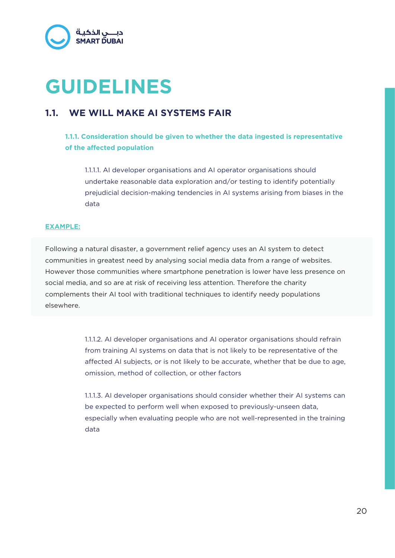

# **GUIDELINES**

# **1.1. WE WILL MAKE AI SYSTEMS FAIR**

## **1.1.1. Consideration should be given to whether the data ingested is representative of the affected population**

1.1.1.1. AI developer organisations and AI operator organisations should undertake reasonable data exploration and/or testing to identify potentially prejudicial decision-making tendencies in AI systems arising from biases in the data

#### **EXAMPLE:**

Following a natural disaster, a government relief agency uses an AI system to detect communities in greatest need by analysing social media data from a range of websites. However those communities where smartphone penetration is lower have less presence on social media, and so are at risk of receiving less attention. Therefore the charity complements their AI tool with traditional techniques to identify needy populations elsewhere.

> 1.1.1.2. AI developer organisations and AI operator organisations should refrain from training AI systems on data that is not likely to be representative of the affected AI subjects, or is not likely to be accurate, whether that be due to age, omission, method of collection, or other factors

> 1.1.1.3. AI developer organisations should consider whether their AI systems can be expected to perform well when exposed to previously-unseen data, especially when evaluating people who are not well-represented in the training data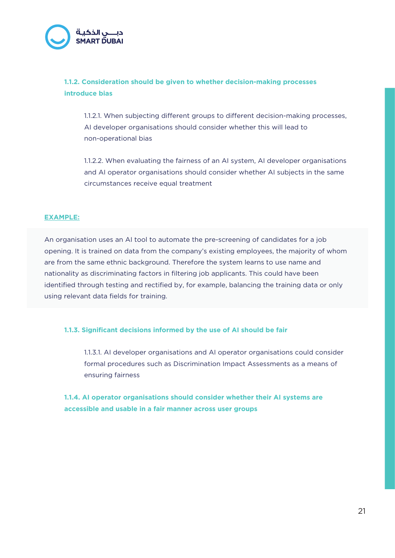

## **1.1.2. Consideration should be given to whether decision-making processes introduce bias**

1.1.2.1. When subjecting different groups to different decision-making processes, AI developer organisations should consider whether this will lead to non-operational bias

1.1.2.2. When evaluating the fairness of an AI system, AI developer organisations and AI operator organisations should consider whether AI subjects in the same circumstances receive equal treatment

#### **EXAMPLE:**

An organisation uses an AI tool to automate the pre-screening of candidates for a job opening. It is trained on data from the company's existing employees, the majority of whom are from the same ethnic background. Therefore the system learns to use name and nationality as discriminating factors in filtering job applicants. This could have been identified through testing and rectified by, for example, balancing the training data or only using relevant data fields for training.

#### **1.1.3. Significant decisions informed by the use of AI should be fair**

1.1.3.1. AI developer organisations and AI operator organisations could consider formal procedures such as Discrimination Impact Assessments as a means of ensuring fairness

**1.1.4. AI operator organisations should consider whether their AI systems are accessible and usable in a fair manner across user groups**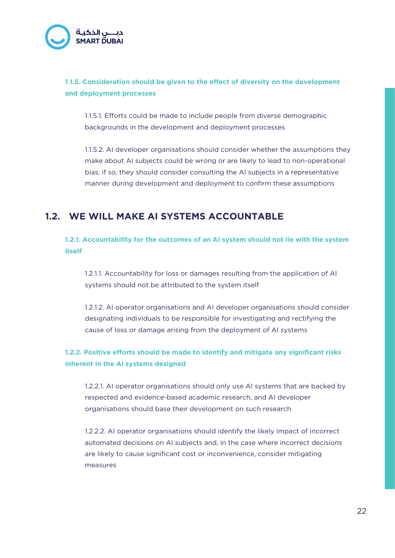

## **1.1.5. Consideration should be given to the effect of diversity on the development and deployment processes**

1.1.5.1. Efforts could be made to include people from diverse demographic backgrounds in the development and deployment processes

1.1.5.2. AI developer organisations should consider whether the assumptions they make about AI subjects could be wrong or are likely to lead to non-operational bias; if so, they should consider consulting the AI subjects in a representative manner during development and deployment to confirm these assumptions

# **1.2. WE WILL MAKE AI SYSTEMS ACCOUNTABLE**

**1.2.1. Accountability for the outcomes of an AI system should not lie with the system itself** 

1.2.1.1. Accountability for loss or damages resulting from the application of AI systems should not be attributed to the system itself

1.2.1.2. AI operator organisations and AI developer organisations should consider designating individuals to be responsible for investigating and rectifying the cause of loss or damage arising from the deployment of AI systems

## **1.2.2. Positive efforts should be made to identify and mitigate any significant risks inherent in the AI systems designed**

1.2.2.1. AI operator organisations should only use AI systems that are backed by respected and evidence-based academic research, and AI developer organisations should base their development on such research

1.2.2.2. AI operator organisations should identify the likely impact of incorrect automated decisions on AI subjects and, in the case where incorrect decisions are likely to cause significant cost or inconvenience, consider mitigating measures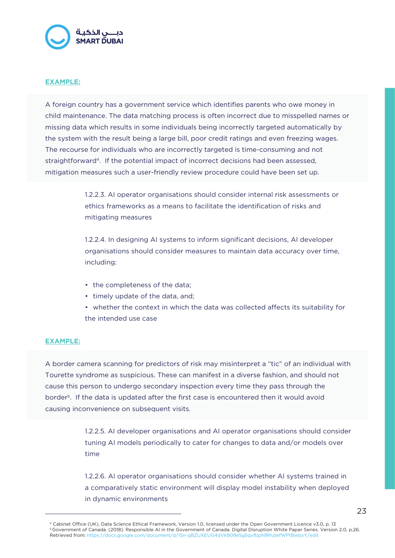

#### **EXAMPLE:**

A foreign country has a government service which identifies parents who owe money in child maintenance. The data matching process is often incorrect due to misspelled names or missing data which results in some individuals being incorrectly targeted automatically by the system with the result being a large bill, poor credit ratings and even freezing wages. The recourse for individuals who are incorrectly targeted is time-consuming and not straightforward4. If the potential impact of incorrect decisions had been assessed, mitigation measures such a user-friendly review procedure could have been set up.

> 1.2.2.3. AI operator organisations should consider internal risk assessments or ethics frameworks as a means to facilitate the identification of risks and mitigating measures

> 1.2.2.4. In designing AI systems to inform significant decisions, AI developer organisations should consider measures to maintain data accuracy over time, including:

- the completeness of the data;
- timely update of the data, and;
- whether the context in which the data was collected affects its suitability for the intended use case

#### **EXAMPLE:**

A border camera scanning for predictors of risk may misinterpret a "tic" of an individual with Tourette syndrome as suspicious. These can manifest in a diverse fashion, and should not cause this person to undergo secondary inspection every time they pass through the border5. If the data is updated after the first case is encountered then it would avoid causing inconvenience on subsequent visits.

> 1.2.2.5. AI developer organisations and AI operator organisations should consider tuning AI models periodically to cater for changes to data and/or models over time

> 1.2.2.6. AI operator organisations should consider whether AI systems trained in a comparatively static environment will display model instability when deployed in dynamic environments

<sup>&</sup>lt;sup>4</sup> Cabinet Office (UK), Data Science Ethical Framework, Version 1.0, licensed under the Open Government Licence v3.0, p. 13 5 Government of Canada. (2018). Responsible AI in the Government of Canada. Digital Disruption White Paper Series. Version 2.0, p.26. Retrieved from: https://docs.google.com/document/d/1Sn-qBZUXEUG4dVk909eSg5qvfbpNlRhzIefWPtBwbxY/edit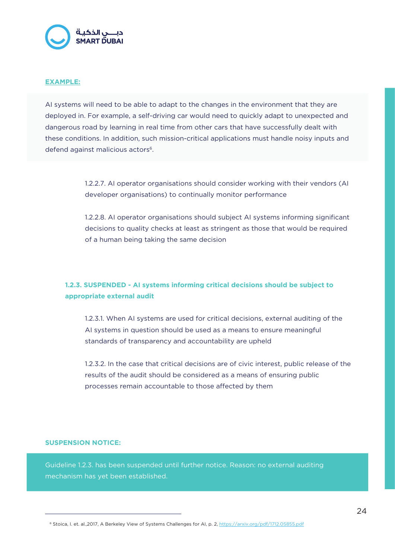

#### **EXAMPLE:**

AI systems will need to be able to adapt to the changes in the environment that they are deployed in. For example, a self-driving car would need to quickly adapt to unexpected and dangerous road by learning in real time from other cars that have successfully dealt with these conditions. In addition, such mission-critical applications must handle noisy inputs and defend against malicious actors<sup>6</sup>.

> 1.2.2.7. AI operator organisations should consider working with their vendors (AI developer organisations) to continually monitor performance

> 1.2.2.8. AI operator organisations should subject AI systems informing significant decisions to quality checks at least as stringent as those that would be required of a human being taking the same decision

## **1.2.3. SUSPENDED - AI systems informing critical decisions should be subject to appropriate external audit**

1.2.3.1. When AI systems are used for critical decisions, external auditing of the AI systems in question should be used as a means to ensure meaningful standards of transparency and accountability are upheld

1.2.3.2. In the case that critical decisions are of civic interest, public release of the results of the audit should be considered as a means of ensuring public processes remain accountable to those affected by them

#### **SUSPENSION NOTICE:**

Guideline 1.2.3. has been suspended until further notice. Reason: no external auditing mechanism has yet been established.

<sup>&</sup>lt;sup>6</sup> Stoica, I. et. al.,2017, A Berkeley View of Systems Challenges for AI, p. 2, https://arxiv.org/pdf/1712.05855.pdf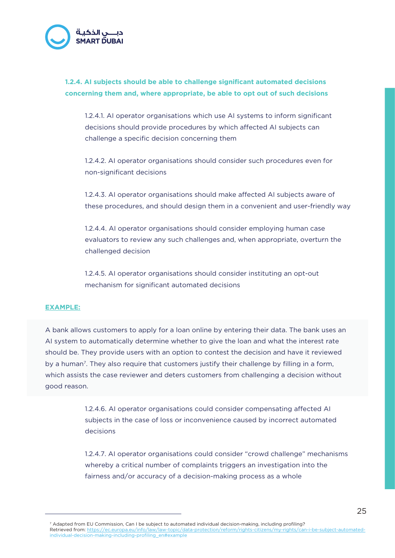

## **1.2.4. AI subjects should be able to challenge significant automated decisions concerning them and, where appropriate, be able to opt out of such decisions**

1.2.4.1. AI operator organisations which use AI systems to inform significant decisions should provide procedures by which affected AI subjects can challenge a specific decision concerning them

1.2.4.2. AI operator organisations should consider such procedures even for non-significant decisions

1.2.4.3. AI operator organisations should make affected AI subjects aware of these procedures, and should design them in a convenient and user-friendly way

1.2.4.4. AI operator organisations should consider employing human case evaluators to review any such challenges and, when appropriate, overturn the challenged decision

1.2.4.5. AI operator organisations should consider instituting an opt-out mechanism for significant automated decisions

#### **EXAMPLE:**

A bank allows customers to apply for a loan online by entering their data. The bank uses an AI system to automatically determine whether to give the loan and what the interest rate should be. They provide users with an option to contest the decision and have it reviewed by a human<sup>7</sup>. They also require that customers justify their challenge by filling in a form, which assists the case reviewer and deters customers from challenging a decision without good reason.

> 1.2.4.6. AI operator organisations could consider compensating affected AI subjects in the case of loss or inconvenience caused by incorrect automated decisions

1.2.4.7. AI operator organisations could consider "crowd challenge" mechanisms whereby a critical number of complaints triggers an investigation into the fairness and/or accuracy of a decision-making process as a whole

7 Adapted from EU Commission, Can I be subject to automated individual decision-making, including profiling? Retrieved from: https://ec.europa.eu/info/law/law-topic/data-protection/reform/rights-citizens/my-rights/can-i-be-subject-automatedindividual-decision-making-including-profiling\_en#example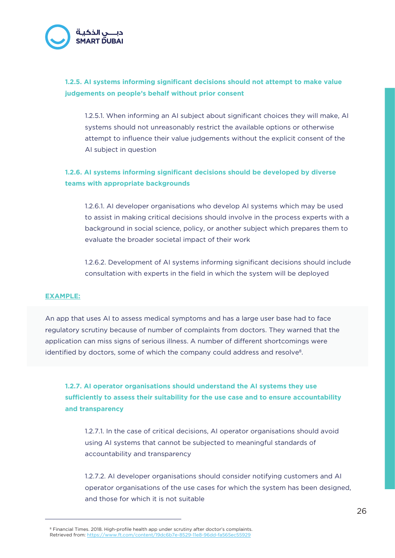

## **1.2.5. AI systems informing significant decisions should not attempt to make value judgements on people's behalf without prior consent**

1.2.5.1. When informing an AI subject about significant choices they will make, AI systems should not unreasonably restrict the available options or otherwise attempt to influence their value judgements without the explicit consent of the AI subject in question

## **1.2.6. AI systems informing significant decisions should be developed by diverse teams with appropriate backgrounds**

1.2.6.1. AI developer organisations who develop AI systems which may be used to assist in making critical decisions should involve in the process experts with a background in social science, policy, or another subject which prepares them to evaluate the broader societal impact of their work

1.2.6.2. Development of AI systems informing significant decisions should include consultation with experts in the field in which the system will be deployed

#### **EXAMPLE:**

An app that uses AI to assess medical symptoms and has a large user base had to face regulatory scrutiny because of number of complaints from doctors. They warned that the application can miss signs of serious illness. A number of different shortcomings were identified by doctors, some of which the company could address and resolve<sup>8</sup>.

**1.2.7. AI operator organisations should understand the AI systems they use sufficiently to assess their suitability for the use case and to ensure accountability and transparency**

1.2.7.1. In the case of critical decisions, AI operator organisations should avoid using AI systems that cannot be subjected to meaningful standards of accountability and transparency

1.2.7.2. AI developer organisations should consider notifying customers and AI operator organisations of the use cases for which the system has been designed, and those for which it is not suitable

<sup>8</sup> Financial Times. 2018. High-profile health app under scrutiny after doctor's complaints. Retrieved from: https://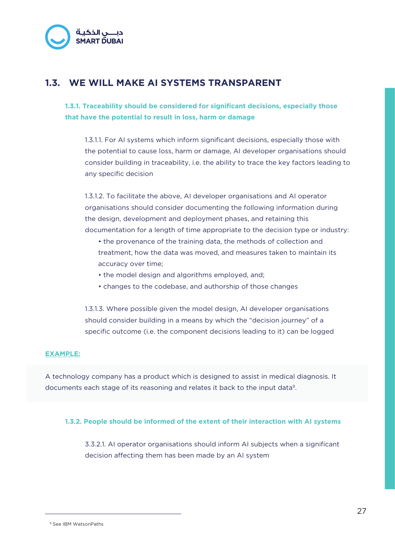

# **1.3. WE WILL MAKE AI SYSTEMS TRANSPARENT**

**1.3.1. Traceability should be considered for significant decisions, especially those that have the potential to result in loss, harm or damage**

1.3.1.1. For AI systems which inform significant decisions, especially those with the potential to cause loss, harm or damage, AI developer organisations should consider building in traceability, i.e. the ability to trace the key factors leading to any specific decision

1.3.1.2. To facilitate the above, AI developer organisations and AI operator organisations should consider documenting the following information during the design, development and deployment phases, and retaining this documentation for a length of time appropriate to the decision type or industry:

- the provenance of the training data, the methods of collection and treatment, how the data was moved, and measures taken to maintain its accuracy over time;
- the model design and algorithms employed, and;
- changes to the codebase, and authorship of those changes

1.3.1.3. Where possible given the model design, AI developer organisations should consider building in a means by which the "decision journey" of a specific outcome (i.e. the component decisions leading to it) can be logged

#### **EXAMPLE:**

A technology company has a product which is designed to assist in medical diagnosis. It documents each stage of its reasoning and relates it back to the input data9.

#### **1.3.2. People should be informed of the extent of their interaction with AI systems**

3.3.2.1. AI operator organisations should inform AI subjects when a significant decision affecting them has been made by an AI system

<sup>9</sup> See IBM WatsonPaths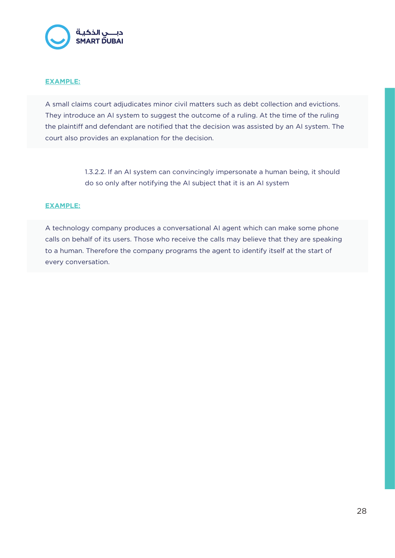

#### **EXAMPLE:**

A small claims court adjudicates minor civil matters such as debt collection and evictions. They introduce an AI system to suggest the outcome of a ruling. At the time of the ruling the plaintiff and defendant are notified that the decision was assisted by an AI system. The court also provides an explanation for the decision.

> 1.3.2.2. If an AI system can convincingly impersonate a human being, it should do so only after notifying the AI subject that it is an AI system

#### **EXAMPLE:**

A technology company produces a conversational AI agent which can make some phone calls on behalf of its users. Those who receive the calls may believe that they are speaking to a human. Therefore the company programs the agent to identify itself at the start of every conversation.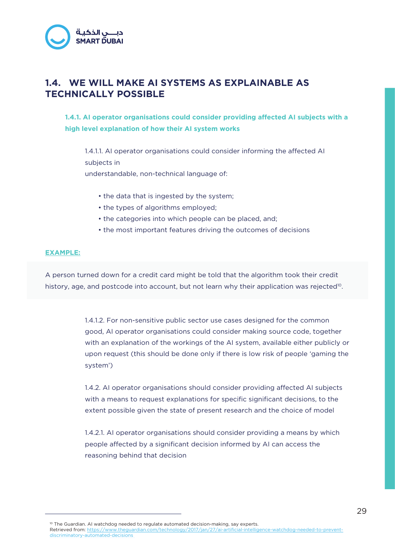# **1.4. WE WILL MAKE AI SYSTEMS AS EXPLAINABLE AS TECHNICALLY POSSIBLE**

**1.4.1. AI operator organisations could consider providing affected AI subjects with a high level explanation of how their AI system works**

1.4.1.1. AI operator organisations could consider informing the affected AI subjects in understandable, non-technical language of:

- the data that is ingested by the system;
- the types of algorithms employed;
- the categories into which people can be placed, and;
- the most important features driving the outcomes of decisions

#### **EXAMPLE:**

A person turned down for a credit card might be told that the algorithm took their credit history, age, and postcode into account, but not learn why their application was rejected<sup>10</sup>.

> 1.4.1.2. For non-sensitive public sector use cases designed for the common good, AI operator organisations could consider making source code, together with an explanation of the workings of the AI system, available either publicly or upon request (this should be done only if there is low risk of people 'gaming the system')

1.4.2. AI operator organisations should consider providing affected AI subjects with a means to request explanations for specific significant decisions, to the extent possible given the state of present research and the choice of model

1.4.2.1. AI operator organisations should consider providing a means by which people affected by a significant decision informed by AI can access the reasoning behind that decision

<sup>10</sup> The Guardian. AI watchdog needed to regulate automated decision-making, say experts. Retrieved from: https://www.theguardian.com/technology/2017/jan/27/ai-artificial-intelligence-watchdog-needed-to-preventdiscriminatory-automated-decisions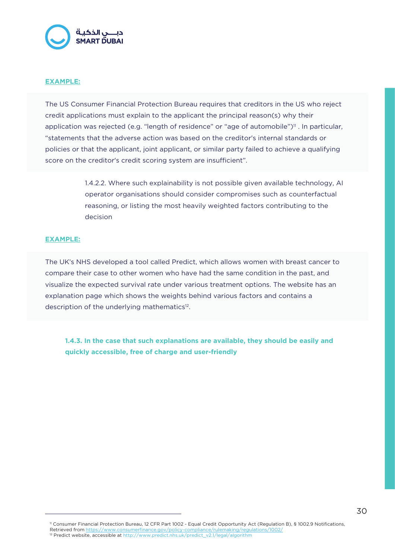

#### **EXAMPLE:**

The US Consumer Financial Protection Bureau requires that creditors in the US who reject credit applications must explain to the applicant the principal reason(s) why their application was rejected (e.g. "length of residence" or "age of automobile")<sup>11</sup>. In particular, "statements that the adverse action was based on the creditor's internal standards or policies or that the applicant, joint applicant, or similar party failed to achieve a qualifying score on the creditor's credit scoring system are insufficient".

> 1.4.2.2. Where such explainability is not possible given available technology, AI operator organisations should consider compromises such as counterfactual reasoning, or listing the most heavily weighted factors contributing to the decision

#### **EXAMPLE:**

The UK's NHS developed a tool called Predict, which allows women with breast cancer to compare their case to other women who have had the same condition in the past, and visualize the expected survival rate under various treatment options. The website has an explanation page which shows the weights behind various factors and contains a description of the underlying mathematics<sup>12</sup>.

**1.4.3. In the case that such explanations are available, they should be easily and quickly accessible, free of charge and user-friendly**

<sup>11</sup> Consumer Financial Protection Bureau, 12 CFR Part 1002 - Equal Credit Opportunity Act (Regulation B), § 1002.9 Notifications, Retrieved from https://www.consumerfinance.gov/policy-compliance/rulemaking/regulations-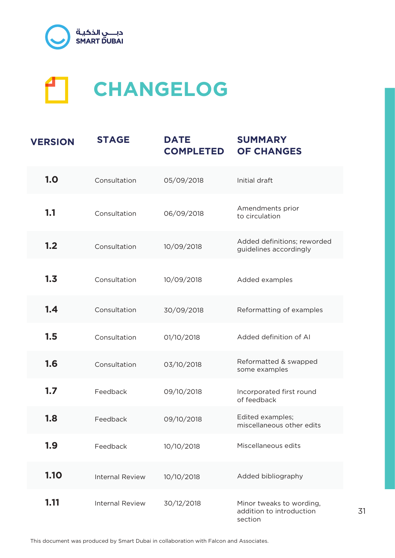



| <b>VERSION</b> | <b>STAGE</b>           | <b>DATE</b><br><b>COMPLETED</b> | <b>SUMMARY</b><br><b>OF CHANGES</b>                             |
|----------------|------------------------|---------------------------------|-----------------------------------------------------------------|
| 1.0            | Consultation           | 05/09/2018                      | Initial draft                                                   |
| 1.1            | Consultation           | 06/09/2018                      | Amendments prior<br>to circulation                              |
| 1.2            | Consultation           | 10/09/2018                      | Added definitions; reworded<br>guidelines accordingly           |
| 1.3            | Consultation           | 10/09/2018                      | Added examples                                                  |
| 1.4            | Consultation           | 30/09/2018                      | Reformatting of examples                                        |
| 1.5            | Consultation           | 01/10/2018                      | Added definition of AI                                          |
| 1.6            | Consultation           | 03/10/2018                      | Reformatted & swapped<br>some examples                          |
| 1.7            | Feedback               | 09/10/2018                      | Incorporated first round<br>of feedback                         |
| 1.8            | Feedback               | 09/10/2018                      | Edited examples;<br>miscellaneous other edits                   |
| 1.9            | Feedback               | 10/10/2018                      | Miscellaneous edits                                             |
| 1.10           | <b>Internal Review</b> | 10/10/2018                      | Added bibliography                                              |
| 1.11           | <b>Internal Review</b> | 30/12/2018                      | Minor tweaks to wording,<br>addition to introduction<br>section |

31

This document was produced by Smart Dubai in collaboration with Falcon and Associates.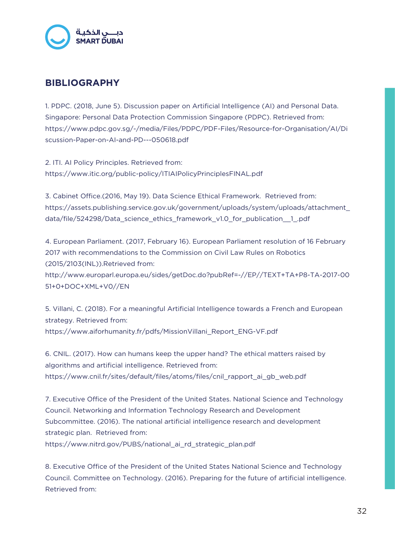

# **BIBLIOGRAPHY**

1. PDPC. (2018, June 5). Discussion paper on Artificial Intelligence (AI) and Personal Data. Singapore: Personal Data Protection Commission Singapore (PDPC). Retrieved from: https://www.pdpc.gov.sg/-/media/Files/PDPC/PDF-Files/Resource-for-Organisation/AI/Di scussion-Paper-on-AI-and-PD---050618.pdf

2. ITI. AI Policy Principles. Retrieved from: https://www.itic.org/public-policy/ITIAIPolicyPrinciplesFINAL.pdf

3. Cabinet Office.(2016, May 19). Data Science Ethical Framework. Retrieved from: https://assets.publishing.service.gov.uk/government/uploads/system/uploads/attachment\_ data/file/524298/Data\_science\_ethics\_framework\_v1.0\_for\_publication\_\_1\_.pdf

4. European Parliament. (2017, February 16). European Parliament resolution of 16 February 2017 with recommendations to the Commission on Civil Law Rules on Robotics (2015/2103(INL)).Retrieved from:

http://www.europarl.europa.eu/sides/getDoc.do?pubRef=-//EP//TEXT+TA+P8-TA-2017-00 51+0+DOC+XML+V0//EN

5. Villani, C. (2018). For a meaningful Artificial Intelligence towards a French and European strategy. Retrieved from: https://www.aiforhumanity.fr/pdfs/MissionVillani\_Report\_ENG-VF.pdf

6. CNIL. (2017). How can humans keep the upper hand? The ethical matters raised by algorithms and artificial intelligence. Retrieved from: https://www.cnil.fr/sites/default/files/atoms/files/cnil\_rapport\_ai\_gb\_web.pdf

7. Executive Office of the President of the United States. National Science and Technology Council. Networking and Information Technology Research and Development Subcommittee. (2016). The national artificial intelligence research and development strategic plan. Retrieved from: https://www.nitrd.gov/PUBS/national\_ai\_rd\_strategic\_plan.pdf

8. Executive Office of the President of the United States National Science and Technology Council. Committee on Technology. (2016). Preparing for the future of artificial intelligence. Retrieved from: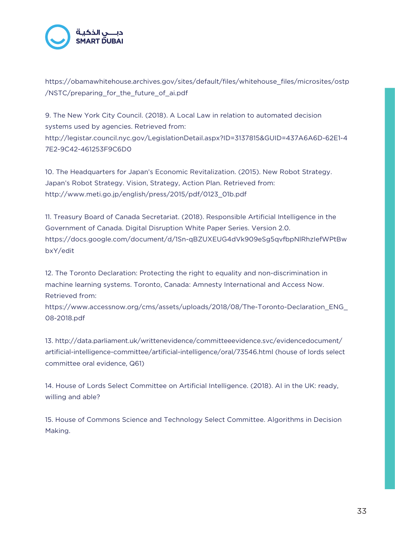

https://obamawhitehouse.archives.gov/sites/default/files/whitehouse\_files/microsites/ostp /NSTC/preparing\_for\_the\_future\_of\_ai.pdf

9. The New York City Council. (2018). A Local Law in relation to automated decision systems used by agencies. Retrieved from: http://legistar.council.nyc.gov/LegislationDetail.aspx?ID=3137815&GUID=437A6A6D-62E1-4 7E2-9C42-461253F9C6D0

10. The Headquarters for Japan's Economic Revitalization. (2015). New Robot Strategy. Japan's Robot Strategy. Vision, Strategy, Action Plan. Retrieved from: http://www.meti.go.jp/english/press/2015/pdf/0123\_01b.pdf

11. Treasury Board of Canada Secretariat. (2018). Responsible Artificial Intelligence in the Government of Canada. Digital Disruption White Paper Series. Version 2.0. https://docs.google.com/document/d/1Sn-qBZUXEUG4dVk909eSg5qvfbpNlRhzIefWPtBw bxY/edit

12. The Toronto Declaration: Protecting the right to equality and non-discrimination in machine learning systems. Toronto, Canada: Amnesty International and Access Now. Retrieved from:

https://www.accessnow.org/cms/assets/uploads/2018/08/The-Toronto-Declaration\_ENG\_ 08-2018.pdf

13. http://data.parliament.uk/writtenevidence/committeeevidence.svc/evidencedocument/ artificial-intelligence-committee/artificial-intelligence/oral/73546.html (house of lords select committee oral evidence, Q61)

14. House of Lords Select Committee on Artificial Intelligence. (2018). AI in the UK: ready, willing and able?

15. House of Commons Science and Technology Select Committee. Algorithms in Decision Making.